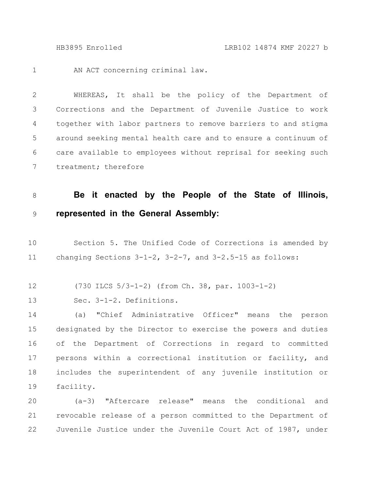AN ACT concerning criminal law. 1

WHEREAS, It shall be the policy of the Department of Corrections and the Department of Juvenile Justice to work together with labor partners to remove barriers to and stigma around seeking mental health care and to ensure a continuum of care available to employees without reprisal for seeking such treatment; therefore 2 3 4 5 6 7

## **Be it enacted by the People of the State of Illinois, represented in the General Assembly:** 8 9

Section 5. The Unified Code of Corrections is amended by changing Sections 3-1-2, 3-2-7, and 3-2.5-15 as follows: 10 11

(730 ILCS 5/3-1-2) (from Ch. 38, par. 1003-1-2) 12

Sec. 3-1-2. Definitions. 13

(a) "Chief Administrative Officer" means the person designated by the Director to exercise the powers and duties of the Department of Corrections in regard to committed persons within a correctional institution or facility, and includes the superintendent of any juvenile institution or facility. 14 15 16 17 18 19

(a-3) "Aftercare release" means the conditional and revocable release of a person committed to the Department of Juvenile Justice under the Juvenile Court Act of 1987, under 20 21 22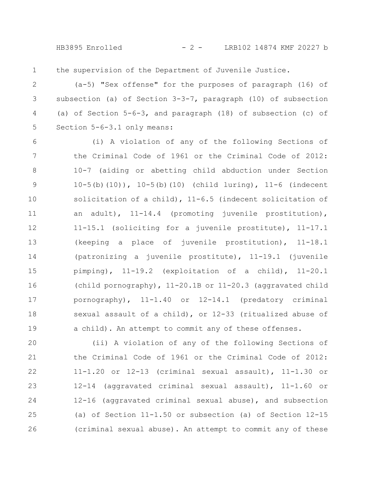HB3895 Enrolled - 2 - LRB102 14874 KMF 20227 b

the supervision of the Department of Juvenile Justice. 1

(a-5) "Sex offense" for the purposes of paragraph (16) of subsection (a) of Section 3-3-7, paragraph (10) of subsection (a) of Section 5-6-3, and paragraph (18) of subsection (c) of Section 5-6-3.1 only means: 2 3 4 5

(i) A violation of any of the following Sections of the Criminal Code of 1961 or the Criminal Code of 2012: 10-7 (aiding or abetting child abduction under Section  $10-5(b)(10)$ ,  $10-5(b)(10)$  (child luring),  $11-6$  (indecent solicitation of a child), 11-6.5 (indecent solicitation of an adult), 11-14.4 (promoting juvenile prostitution), 11-15.1 (soliciting for a juvenile prostitute), 11-17.1 (keeping a place of juvenile prostitution), 11-18.1 (patronizing a juvenile prostitute), 11-19.1 (juvenile pimping), 11-19.2 (exploitation of a child), 11-20.1 (child pornography), 11-20.1B or 11-20.3 (aggravated child pornography), 11-1.40 or 12-14.1 (predatory criminal sexual assault of a child), or 12-33 (ritualized abuse of a child). An attempt to commit any of these offenses. 6 7 8 9 10 11 12 13 14 15 16 17 18 19

(ii) A violation of any of the following Sections of the Criminal Code of 1961 or the Criminal Code of 2012: 11-1.20 or 12-13 (criminal sexual assault), 11-1.30 or 12-14 (aggravated criminal sexual assault), 11-1.60 or 12-16 (aggravated criminal sexual abuse), and subsection (a) of Section 11-1.50 or subsection (a) of Section 12-15 (criminal sexual abuse). An attempt to commit any of these 20 21 22 23 24 25 26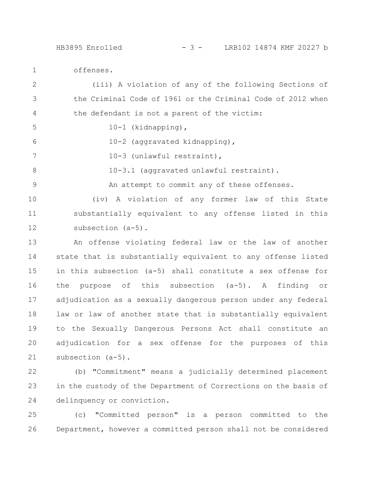offenses. 1

(iii) A violation of any of the following Sections of the Criminal Code of 1961 or the Criminal Code of 2012 when the defendant is not a parent of the victim: 10-1 (kidnapping), 10-2 (aggravated kidnapping), 10-3 (unlawful restraint), 10-3.1 (aggravated unlawful restraint). An attempt to commit any of these offenses. (iv) A violation of any former law of this State substantially equivalent to any offense listed in this subsection (a-5). An offense violating federal law or the law of another state that is substantially equivalent to any offense listed in this subsection (a-5) shall constitute a sex offense for the purpose of this subsection (a-5). A finding or adjudication as a sexually dangerous person under any federal law or law of another state that is substantially equivalent to the Sexually Dangerous Persons Act shall constitute an adjudication for a sex offense for the purposes of this subsection (a-5). 2 3 4 5 6 7 8 9 10 11 12 13 14 15 16 17 18 19 20 21

(b) "Commitment" means a judicially determined placement in the custody of the Department of Corrections on the basis of delinquency or conviction. 22 23 24

(c) "Committed person" is a person committed to the Department, however a committed person shall not be considered 25 26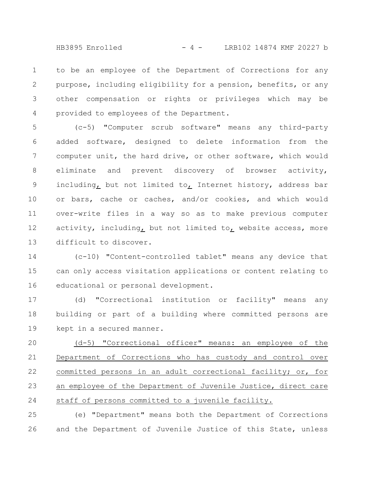HB3895 Enrolled - 4 - LRB102 14874 KMF 20227 b

to be an employee of the Department of Corrections for any purpose, including eligibility for a pension, benefits, or any other compensation or rights or privileges which may be provided to employees of the Department. 1 2 3 4

(c-5) "Computer scrub software" means any third-party added software, designed to delete information from the computer unit, the hard drive, or other software, which would eliminate and prevent discovery of browser activity, including, but not limited to, Internet history, address bar or bars, cache or caches, and/or cookies, and which would over-write files in a way so as to make previous computer activity, including, but not limited to, website access, more difficult to discover. 5 6 7 8 9 10 11 12 13

(c-10) "Content-controlled tablet" means any device that can only access visitation applications or content relating to educational or personal development. 14 15 16

(d) "Correctional institution or facility" means any building or part of a building where committed persons are kept in a secured manner. 17 18 19

(d-5) "Correctional officer" means: an employee of the Department of Corrections who has custody and control over committed persons in an adult correctional facility; or, for an employee of the Department of Juvenile Justice, direct care staff of persons committed to a juvenile facility. 20 21 22 23 24

(e) "Department" means both the Department of Corrections and the Department of Juvenile Justice of this State, unless 25 26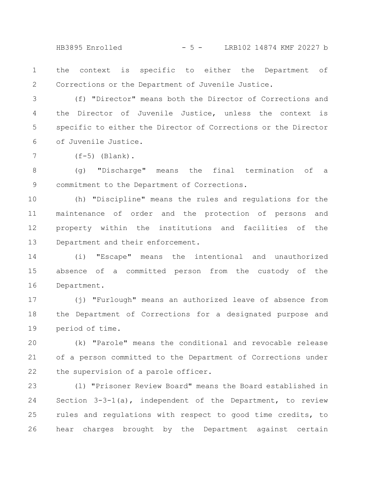HB3895 Enrolled - 5 - LRB102 14874 KMF 20227 b

the context is specific to either the Department of Corrections or the Department of Juvenile Justice. 1 2

(f) "Director" means both the Director of Corrections and the Director of Juvenile Justice, unless the context is specific to either the Director of Corrections or the Director of Juvenile Justice. 3 4 5 6

 $(f-5)$  (Blank).

7

(g) "Discharge" means the final termination of a commitment to the Department of Corrections. 8 9

(h) "Discipline" means the rules and regulations for the maintenance of order and the protection of persons and property within the institutions and facilities of the Department and their enforcement. 10 11 12 13

(i) "Escape" means the intentional and unauthorized absence of a committed person from the custody of the Department. 14 15 16

(j) "Furlough" means an authorized leave of absence from the Department of Corrections for a designated purpose and period of time. 17 18 19

(k) "Parole" means the conditional and revocable release of a person committed to the Department of Corrections under the supervision of a parole officer. 20 21 22

(l) "Prisoner Review Board" means the Board established in Section 3-3-1(a), independent of the Department, to review rules and regulations with respect to good time credits, to hear charges brought by the Department against certain 23 24 25 26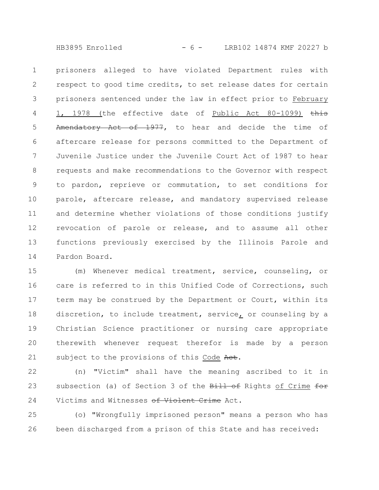HB3895 Enrolled - 6 - LRB102 14874 KMF 20227 b

prisoners alleged to have violated Department rules with respect to good time credits, to set release dates for certain prisoners sentenced under the law in effect prior to February 1, 1978 (the effective date of Public Act 80-1099) this Amendatory Act of 1977, to hear and decide the time of aftercare release for persons committed to the Department of Juvenile Justice under the Juvenile Court Act of 1987 to hear requests and make recommendations to the Governor with respect to pardon, reprieve or commutation, to set conditions for parole, aftercare release, and mandatory supervised release and determine whether violations of those conditions justify revocation of parole or release, and to assume all other functions previously exercised by the Illinois Parole and Pardon Board. 1 2 3 4 5 6 7 8 9 10 11 12 13 14

(m) Whenever medical treatment, service, counseling, or care is referred to in this Unified Code of Corrections, such term may be construed by the Department or Court, within its discretion, to include treatment, service, or counseling by a Christian Science practitioner or nursing care appropriate therewith whenever request therefor is made by a person subject to the provisions of this Code Aet. 15 16 17 18 19 20 21

(n) "Victim" shall have the meaning ascribed to it in subsection (a) of Section 3 of the Bill of Rights of Crime for Victims and Witnesses of Violent Crime Act. 22 23 24

(o) "Wrongfully imprisoned person" means a person who has been discharged from a prison of this State and has received: 25 26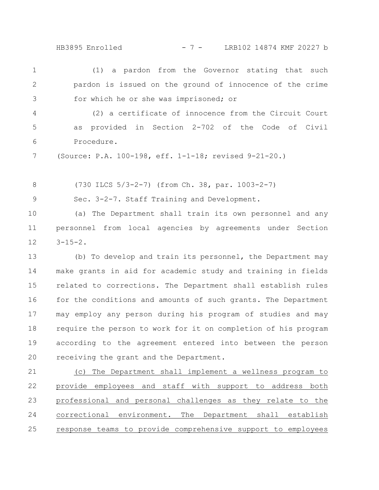HB3895 Enrolled - 7 - LRB102 14874 KMF 20227 b

(1) a pardon from the Governor stating that such pardon is issued on the ground of innocence of the crime for which he or she was imprisoned; or 1 2 3

(2) a certificate of innocence from the Circuit Court as provided in Section 2-702 of the Code of Civil Procedure. 4 5 6

(Source: P.A. 100-198, eff. 1-1-18; revised 9-21-20.) 7

(730 ILCS 5/3-2-7) (from Ch. 38, par. 1003-2-7) 8

Sec. 3-2-7. Staff Training and Development. 9

(a) The Department shall train its own personnel and any personnel from local agencies by agreements under Section  $3 - 15 - 2$ . 10 11 12

(b) To develop and train its personnel, the Department may make grants in aid for academic study and training in fields related to corrections. The Department shall establish rules for the conditions and amounts of such grants. The Department may employ any person during his program of studies and may require the person to work for it on completion of his program according to the agreement entered into between the person receiving the grant and the Department. 13 14 15 16 17 18 19 20

(c) The Department shall implement a wellness program to provide employees and staff with support to address both professional and personal challenges as they relate to the correctional environment. The Department shall establish response teams to provide comprehensive support to employees 21 22 23 24 25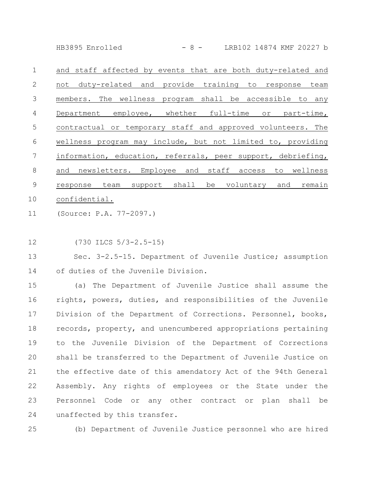HB3895 Enrolled - 8 - LRB102 14874 KMF 20227 b

| $\mathbf{1}$ | and staff affected by events that are both duty-related and  |
|--------------|--------------------------------------------------------------|
| 2            | duty-related and provide training to response team<br>not    |
| 3            | members. The wellness program shall be accessible to any     |
| 4            | Department employee, whether full-time or part-time,         |
| 5            | contractual or temporary staff and approved volunteers. The  |
| 6            | wellness program may include, but not limited to, providing  |
| 7            | information, education, referrals, peer support, debriefing, |
| 8            | and newsletters. Employee and staff access to wellness       |
| 9            | team support shall be voluntary and<br>remain<br>response    |
| 10           | confidential.                                                |
|              |                                                              |

- (Source: P.A. 77-2097.) 11
- (730 ILCS 5/3-2.5-15) 12

Sec. 3-2.5-15. Department of Juvenile Justice; assumption of duties of the Juvenile Division. 13 14

(a) The Department of Juvenile Justice shall assume the rights, powers, duties, and responsibilities of the Juvenile Division of the Department of Corrections. Personnel, books, records, property, and unencumbered appropriations pertaining to the Juvenile Division of the Department of Corrections shall be transferred to the Department of Juvenile Justice on the effective date of this amendatory Act of the 94th General Assembly. Any rights of employees or the State under the Personnel Code or any other contract or plan shall be unaffected by this transfer. 15 16 17 18 19 20 21 22 23 24

(b) Department of Juvenile Justice personnel who are hired 25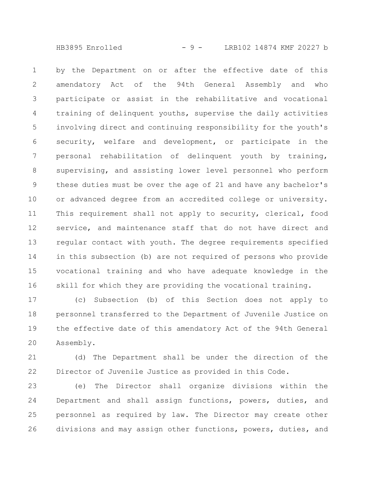HB3895 Enrolled - 9 - LRB102 14874 KMF 20227 b

by the Department on or after the effective date of this amendatory Act of the 94th General Assembly and who participate or assist in the rehabilitative and vocational training of delinquent youths, supervise the daily activities involving direct and continuing responsibility for the youth's security, welfare and development, or participate in the personal rehabilitation of delinquent youth by training, supervising, and assisting lower level personnel who perform these duties must be over the age of 21 and have any bachelor's or advanced degree from an accredited college or university. This requirement shall not apply to security, clerical, food service, and maintenance staff that do not have direct and regular contact with youth. The degree requirements specified in this subsection (b) are not required of persons who provide vocational training and who have adequate knowledge in the skill for which they are providing the vocational training. 1 2 3 4 5 6 7 8 9 10 11 12 13 14 15 16

(c) Subsection (b) of this Section does not apply to personnel transferred to the Department of Juvenile Justice on the effective date of this amendatory Act of the 94th General Assembly. 17 18 19 20

(d) The Department shall be under the direction of the Director of Juvenile Justice as provided in this Code. 21 22

(e) The Director shall organize divisions within the Department and shall assign functions, powers, duties, and personnel as required by law. The Director may create other divisions and may assign other functions, powers, duties, and 23 24 25 26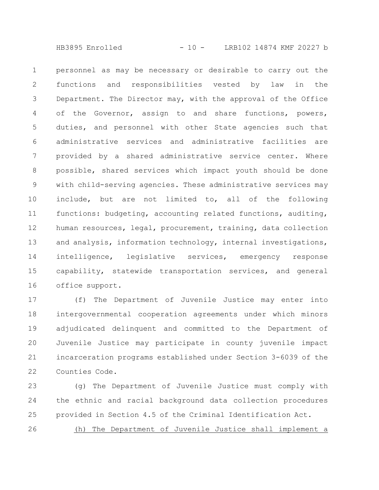HB3895 Enrolled - 10 - LRB102 14874 KMF 20227 b

personnel as may be necessary or desirable to carry out the functions and responsibilities vested by law in the Department. The Director may, with the approval of the Office of the Governor, assign to and share functions, powers, duties, and personnel with other State agencies such that administrative services and administrative facilities are provided by a shared administrative service center. Where possible, shared services which impact youth should be done with child-serving agencies. These administrative services may include, but are not limited to, all of the following functions: budgeting, accounting related functions, auditing, human resources, legal, procurement, training, data collection and analysis, information technology, internal investigations, intelligence, legislative services, emergency response capability, statewide transportation services, and general office support. 1 2 3 4 5 6 7 8 9 10 11 12 13 14 15 16

(f) The Department of Juvenile Justice may enter into intergovernmental cooperation agreements under which minors adjudicated delinquent and committed to the Department of Juvenile Justice may participate in county juvenile impact incarceration programs established under Section 3-6039 of the Counties Code. 17 18 19 20 21 22

(g) The Department of Juvenile Justice must comply with the ethnic and racial background data collection procedures provided in Section 4.5 of the Criminal Identification Act. 23 24 25

(h) The Department of Juvenile Justice shall implement a 26